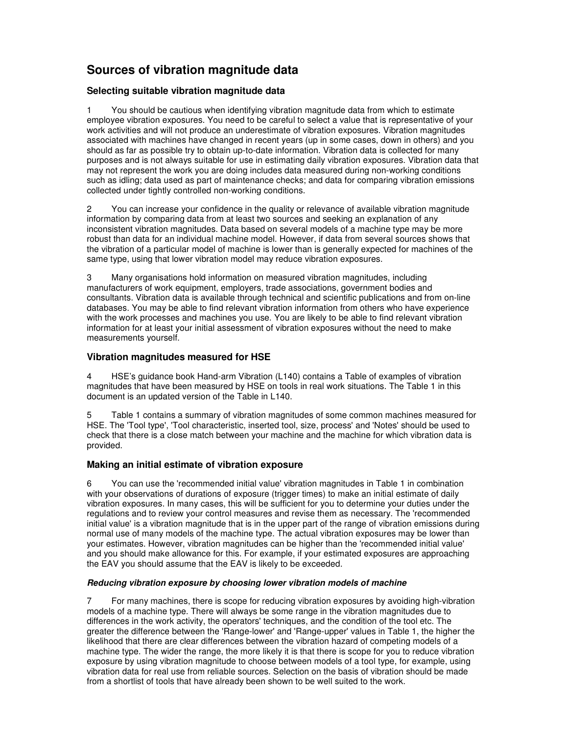# **Sources of vibration magnitude data**

## **Selecting suitable vibration magnitude data**

1 You should be cautious when identifying vibration magnitude data from which to estimate employee vibration exposures. You need to be careful to select a value that is representative of your work activities and will not produce an underestimate of vibration exposures. Vibration magnitudes associated with machines have changed in recent years (up in some cases, down in others) and you should as far as possible try to obtain up-to-date information. Vibration data is collected for many purposes and is not always suitable for use in estimating daily vibration exposures. Vibration data that may not represent the work you are doing includes data measured during non-working conditions such as idling; data used as part of maintenance checks; and data for comparing vibration emissions collected under tightly controlled non-working conditions.

2 You can increase your confidence in the quality or relevance of available vibration magnitude information by comparing data from at least two sources and seeking an explanation of any inconsistent vibration magnitudes. Data based on several models of a machine type may be more robust than data for an individual machine model. However, if data from several sources shows that the vibration of a particular model of machine is lower than is generally expected for machines of the same type, using that lower vibration model may reduce vibration exposures.

3 Many organisations hold information on measured vibration magnitudes, including manufacturers of work equipment, employers, trade associations, government bodies and consultants. Vibration data is available through technical and scientific publications and from on-line databases. You may be able to find relevant vibration information from others who have experience with the work processes and machines you use. You are likely to be able to find relevant vibration information for at least your initial assessment of vibration exposures without the need to make measurements yourself.

### **Vibration magnitudes measured for HSE**

4 HSE's guidance book Hand-arm Vibration (L140) contains a Table of examples of vibration magnitudes that have been measured by HSE on tools in real work situations. The Table 1 in this document is an updated version of the Table in L140.

5 Table 1 contains a summary of vibration magnitudes of some common machines measured for HSE. The 'Tool type', 'Tool characteristic, inserted tool, size, process' and 'Notes' should be used to check that there is a close match between your machine and the machine for which vibration data is provided.

## **Making an initial estimate of vibration exposure**

6 You can use the 'recommended initial value' vibration magnitudes in Table 1 in combination with your observations of durations of exposure (trigger times) to make an initial estimate of daily vibration exposures. In many cases, this will be sufficient for you to determine your duties under the regulations and to review your control measures and revise them as necessary. The 'recommended initial value' is a vibration magnitude that is in the upper part of the range of vibration emissions during normal use of many models of the machine type. The actual vibration exposures may be lower than your estimates. However, vibration magnitudes can be higher than the 'recommended initial value' and you should make allowance for this. For example, if your estimated exposures are approaching the EAV you should assume that the EAV is likely to be exceeded.

#### **Reducing vibration exposure by choosing lower vibration models of machine**

7 For many machines, there is scope for reducing vibration exposures by avoiding high-vibration models of a machine type. There will always be some range in the vibration magnitudes due to differences in the work activity, the operators' techniques, and the condition of the tool etc. The greater the difference between the 'Range-lower' and 'Range-upper' values in Table 1, the higher the likelihood that there are clear differences between the vibration hazard of competing models of a machine type. The wider the range, the more likely it is that there is scope for you to reduce vibration exposure by using vibration magnitude to choose between models of a tool type, for example, using vibration data for real use from reliable sources. Selection on the basis of vibration should be made from a shortlist of tools that have already been shown to be well suited to the work.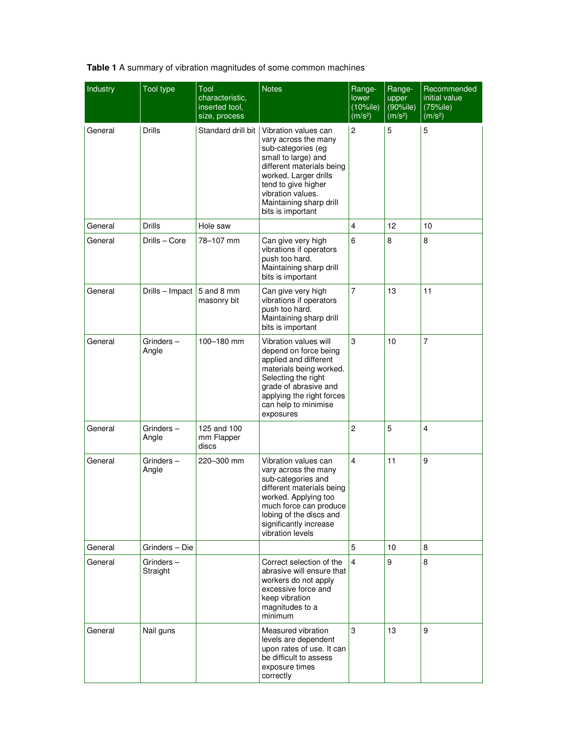**Table 1** A summary of vibration magnitudes of some common machines

| Industry | <b>Tool type</b>      | Tool<br>characteristic,<br>inserted tool,<br>size, process | <b>Notes</b>                                                                                                                                                                                                                                | Range-<br>lower<br>$(10\%$ ile)<br>(m/s <sup>2</sup> ) | Range-<br>upper<br>$(90\%$ ile)<br>(m/s <sup>2</sup> ) | Recommended<br>initial value<br>(75%ile)<br>(m/s <sup>2</sup> ) |
|----------|-----------------------|------------------------------------------------------------|---------------------------------------------------------------------------------------------------------------------------------------------------------------------------------------------------------------------------------------------|--------------------------------------------------------|--------------------------------------------------------|-----------------------------------------------------------------|
| General  | <b>Drills</b>         | Standard drill bit                                         | Vibration values can<br>vary across the many<br>sub-categories (eg<br>small to large) and<br>different materials being<br>worked. Larger drills<br>tend to give higher<br>vibration values.<br>Maintaining sharp drill<br>bits is important | $\overline{c}$                                         | 5                                                      | 5                                                               |
| General  | <b>Drills</b>         | Hole saw                                                   |                                                                                                                                                                                                                                             | 4                                                      | 12                                                     | 10                                                              |
| General  | Drills - Core         | 78-107 mm                                                  | Can give very high<br>vibrations if operators<br>push too hard.<br>Maintaining sharp drill<br>bits is important                                                                                                                             | 6                                                      | 8                                                      | 8                                                               |
| General  | Drills - Impact       | 5 and 8 mm<br>masonry bit                                  | Can give very high<br>vibrations if operators<br>push too hard.<br>Maintaining sharp drill<br>bits is important                                                                                                                             | 7                                                      | 13                                                     | 11                                                              |
| General  | Grinders-<br>Angle    | 100-180 mm                                                 | Vibration values will<br>depend on force being<br>applied and different<br>materials being worked.<br>Selecting the right<br>grade of abrasive and<br>applying the right forces<br>can help to minimise<br>exposures                        | 3                                                      | 10                                                     | 7                                                               |
| General  | Grinders-<br>Angle    | 125 and 100<br>mm Flapper<br>discs                         |                                                                                                                                                                                                                                             | 2                                                      | 5                                                      | 4                                                               |
| General  | Grinders $-$<br>Angle | 220-300 mm                                                 | Vibration values can<br>vary across the many<br>sub-categories and<br>different materials being<br>worked. Applying too<br>much force can produce<br>lobing of the discs and<br>significantly increase<br>vibration levels                  | 4                                                      | 11                                                     | 9                                                               |
| General  | Grinders - Die        |                                                            |                                                                                                                                                                                                                                             | 5                                                      | 10                                                     | 8                                                               |
| General  | Grinders-<br>Straight |                                                            | Correct selection of the<br>abrasive will ensure that<br>workers do not apply<br>excessive force and<br>keep vibration<br>magnitudes to a<br>minimum                                                                                        | 4                                                      | 9                                                      | 8                                                               |
| General  | Nail guns             |                                                            | Measured vibration<br>levels are dependent<br>upon rates of use. It can<br>be difficult to assess<br>exposure times<br>correctly                                                                                                            | 3                                                      | 13                                                     | 9                                                               |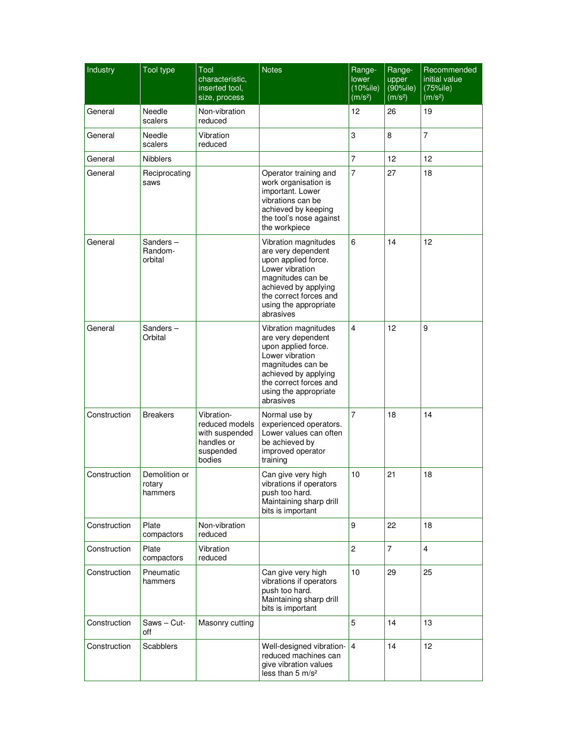| Industry     | <b>Tool type</b>                   | Tool<br>characteristic,<br>inserted tool.<br>size, process                          | <b>Notes</b>                                                                                                                                                                                      | Range-<br>lower<br>$(10\%$ ile)<br>(m/s <sup>2</sup> ) | Range-<br>upper<br>$(90\%$ ile)<br>(m/s <sup>2</sup> ) | Recommended<br>initial value<br>(75%ile)<br>(m/s <sup>2</sup> ) |
|--------------|------------------------------------|-------------------------------------------------------------------------------------|---------------------------------------------------------------------------------------------------------------------------------------------------------------------------------------------------|--------------------------------------------------------|--------------------------------------------------------|-----------------------------------------------------------------|
| General      | Needle<br>scalers                  | Non-vibration<br>reduced                                                            |                                                                                                                                                                                                   | 12                                                     | 26                                                     | 19                                                              |
| General      | Needle<br>scalers                  | Vibration<br>reduced                                                                |                                                                                                                                                                                                   | 3                                                      | 8                                                      | 7                                                               |
| General      | <b>Nibblers</b>                    |                                                                                     |                                                                                                                                                                                                   | $\overline{7}$                                         | 12                                                     | 12                                                              |
| General      | Reciprocating<br>saws              |                                                                                     | Operator training and<br>work organisation is<br>important. Lower<br>vibrations can be<br>achieved by keeping<br>the tool's nose against<br>the workpiece                                         | 7                                                      | 27                                                     | 18                                                              |
| General      | Sanders-<br>Random-<br>orbital     |                                                                                     | Vibration magnitudes<br>are very dependent<br>upon applied force.<br>Lower vibration<br>magnitudes can be<br>achieved by applying<br>the correct forces and<br>using the appropriate<br>abrasives | 6                                                      | 14                                                     | 12                                                              |
| General      | Sanders-<br>Orbital                |                                                                                     | Vibration magnitudes<br>are very dependent<br>upon applied force.<br>Lower vibration<br>magnitudes can be<br>achieved by applying<br>the correct forces and<br>using the appropriate<br>abrasives | 4                                                      | 12                                                     | 9                                                               |
| Construction | <b>Breakers</b>                    | Vibration-<br>reduced models<br>with suspended<br>handles or<br>suspended<br>bodies | Normal use by<br>experienced operators.<br>Lower values can often<br>be achieved by<br>improved operator<br>training                                                                              | 7                                                      | 18                                                     | 14                                                              |
| Construction | Demolition or<br>rotary<br>hammers |                                                                                     | Can give very high<br>vibrations if operators<br>push too hard.<br>Maintaining sharp drill<br>bits is important                                                                                   | 10                                                     | 21                                                     | 18                                                              |
| Construction | Plate<br>compactors                | Non-vibration<br>reduced                                                            |                                                                                                                                                                                                   | 9                                                      | 22                                                     | 18                                                              |
| Construction | Plate<br>compactors                | Vibration<br>reduced                                                                |                                                                                                                                                                                                   | $\overline{c}$                                         | $\overline{7}$                                         | $\overline{\mathbf{4}}$                                         |
| Construction | Pneumatic<br>hammers               |                                                                                     | Can give very high<br>vibrations if operators<br>push too hard.<br>Maintaining sharp drill<br>bits is important                                                                                   | 10                                                     | 29                                                     | 25                                                              |
| Construction | Saws - Cut-<br>off                 | Masonry cutting                                                                     |                                                                                                                                                                                                   | 5                                                      | 14                                                     | 13                                                              |
| Construction | Scabblers                          |                                                                                     | Well-designed vibration-<br>reduced machines can<br>give vibration values<br>less than 5 m/s <sup>2</sup>                                                                                         | $\overline{4}$                                         | 14                                                     | 12                                                              |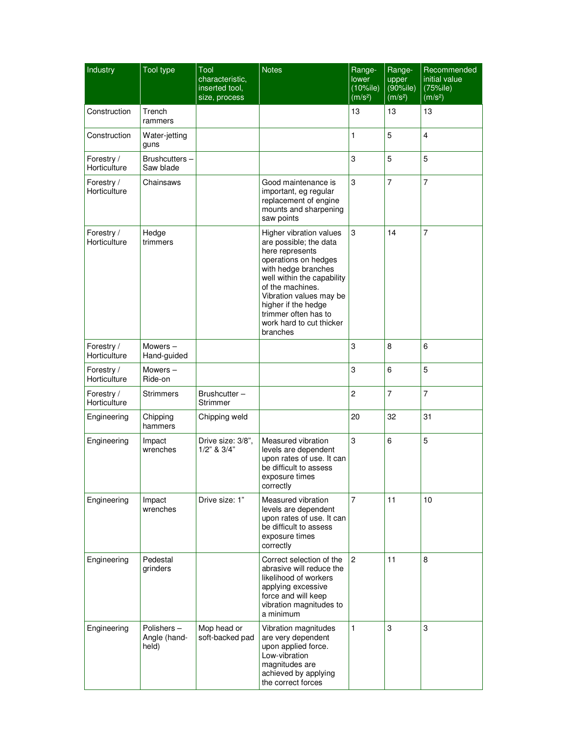| Industry                   | Tool type                           | Tool<br>characteristic,<br>inserted tool,<br>size, process | <b>Notes</b>                                                                                                                                                                                                                                                                            | Range-<br>lower<br>$(10\%$ ile)<br>(m/s <sup>2</sup> ) | Range-<br>upper<br>(90%ile)<br>(m/s <sup>2</sup> ) | Recommended<br>initial value<br>(75%ile)<br>(m/s <sup>2</sup> ) |
|----------------------------|-------------------------------------|------------------------------------------------------------|-----------------------------------------------------------------------------------------------------------------------------------------------------------------------------------------------------------------------------------------------------------------------------------------|--------------------------------------------------------|----------------------------------------------------|-----------------------------------------------------------------|
| Construction               | Trench<br>rammers                   |                                                            |                                                                                                                                                                                                                                                                                         | 13                                                     | 13                                                 | 13                                                              |
| Construction               | Water-jetting<br>guns               |                                                            |                                                                                                                                                                                                                                                                                         | 1                                                      | 5                                                  | $\overline{4}$                                                  |
| Forestry /<br>Horticulture | Brushcutters-<br>Saw blade          |                                                            |                                                                                                                                                                                                                                                                                         | 3                                                      | 5                                                  | 5                                                               |
| Forestry /<br>Horticulture | Chainsaws                           |                                                            | Good maintenance is<br>important, eg regular<br>replacement of engine<br>mounts and sharpening<br>saw points                                                                                                                                                                            | 3                                                      | 7                                                  | $\overline{7}$                                                  |
| Forestry /<br>Horticulture | Hedge<br>trimmers                   |                                                            | Higher vibration values<br>are possible; the data<br>here represents<br>operations on hedges<br>with hedge branches<br>well within the capability<br>of the machines.<br>Vibration values may be<br>higher if the hedge<br>trimmer often has to<br>work hard to cut thicker<br>branches | 3                                                      | 14                                                 | 7                                                               |
| Forestry /<br>Horticulture | Mowers-<br>Hand-guided              |                                                            |                                                                                                                                                                                                                                                                                         | 3                                                      | 8                                                  | 6                                                               |
| Forestry /<br>Horticulture | Mowers $-$<br>Ride-on               |                                                            |                                                                                                                                                                                                                                                                                         | 3                                                      | 6                                                  | 5                                                               |
| Forestry /<br>Horticulture | <b>Strimmers</b>                    | Brushcutter-<br>Strimmer                                   |                                                                                                                                                                                                                                                                                         | $\overline{c}$                                         | $\overline{7}$                                     | $\overline{7}$                                                  |
| Engineering                | Chipping<br>hammers                 | Chipping weld                                              |                                                                                                                                                                                                                                                                                         | 20                                                     | 32                                                 | 31                                                              |
| Engineering                | Impact<br>wrenches                  | Drive size: 3/8",<br>$1/2$ " & $3/4$ "                     | Measured vibration<br>levels are dependent<br>upon rates of use. It can<br>be difficult to assess<br>exposure times<br>correctly                                                                                                                                                        | 3                                                      | 6                                                  | 5                                                               |
| Engineering                | Impact<br>wrenches                  | Drive size: 1"                                             | Measured vibration<br>levels are dependent<br>upon rates of use. It can<br>be difficult to assess<br>exposure times<br>correctly                                                                                                                                                        | $\overline{7}$                                         | 11                                                 | 10                                                              |
| Engineering                | Pedestal<br>grinders                |                                                            | Correct selection of the<br>abrasive will reduce the<br>likelihood of workers<br>applying excessive<br>force and will keep<br>vibration magnitudes to<br>a minimum                                                                                                                      | 2                                                      | 11                                                 | 8                                                               |
| Engineering                | Polishers-<br>Angle (hand-<br>held) | Mop head or<br>soft-backed pad                             | Vibration magnitudes<br>are very dependent<br>upon applied force.<br>Low-vibration<br>magnitudes are<br>achieved by applying<br>the correct forces                                                                                                                                      | 1                                                      | 3                                                  | 3                                                               |